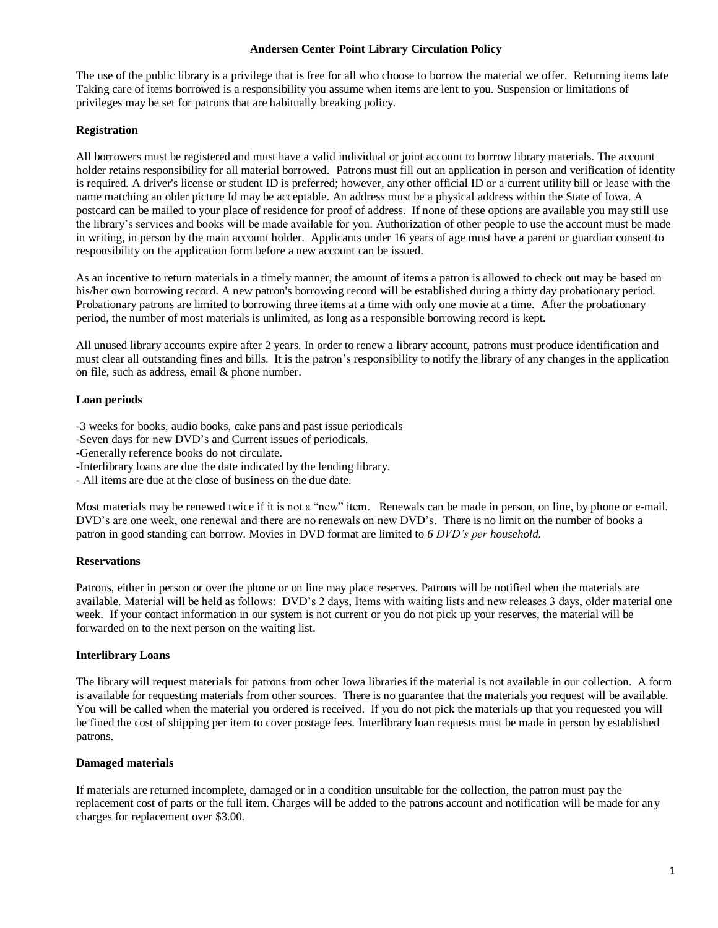#### **Andersen Center Point Library Circulation Policy**

The use of the public library is a privilege that is free for all who choose to borrow the material we offer. Returning items late Taking care of items borrowed is a responsibility you assume when items are lent to you. Suspension or limitations of privileges may be set for patrons that are habitually breaking policy.

#### **Registration**

All borrowers must be registered and must have a valid individual or joint account to borrow library materials. The account holder retains responsibility for all material borrowed. Patrons must fill out an application in person and verification of identity is required. A driver's license or student ID is preferred; however, any other official ID or a current utility bill or lease with the name matching an older picture Id may be acceptable. An address must be a physical address within the State of Iowa. A postcard can be mailed to your place of residence for proof of address. If none of these options are available you may still use the library's services and books will be made available for you. Authorization of other people to use the account must be made in writing, in person by the main account holder. Applicants under 16 years of age must have a parent or guardian consent to responsibility on the application form before a new account can be issued.

As an incentive to return materials in a timely manner, the amount of items a patron is allowed to check out may be based on his/her own borrowing record. A new patron's borrowing record will be established during a thirty day probationary period. Probationary patrons are limited to borrowing three items at a time with only one movie at a time. After the probationary period, the number of most materials is unlimited, as long as a responsible borrowing record is kept.

All unused library accounts expire after 2 years. In order to renew a library account, patrons must produce identification and must clear all outstanding fines and bills. It is the patron's responsibility to notify the library of any changes in the application on file, such as address, email & phone number.

#### **Loan periods**

-3 weeks for books, audio books, cake pans and past issue periodicals

-Seven days for new DVD's and Current issues of periodicals.

-Generally reference books do not circulate.

-Interlibrary loans are due the date indicated by the lending library.

- All items are due at the close of business on the due date.

Most materials may be renewed twice if it is not a "new" item. Renewals can be made in person, on line, by phone or e-mail. DVD's are one week, one renewal and there are no renewals on new DVD's. There is no limit on the number of books a patron in good standing can borrow. Movies in DVD format are limited to *6 DVD's per household.*

## **Reservations**

Patrons, either in person or over the phone or on line may place reserves. Patrons will be notified when the materials are available. Material will be held as follows: DVD's 2 days, Items with waiting lists and new releases 3 days, older material one week. If your contact information in our system is not current or you do not pick up your reserves, the material will be forwarded on to the next person on the waiting list.

## **Interlibrary Loans**

The library will request materials for patrons from other Iowa libraries if the material is not available in our collection. A form is available for requesting materials from other sources. There is no guarantee that the materials you request will be available. You will be called when the material you ordered is received. If you do not pick the materials up that you requested you will be fined the cost of shipping per item to cover postage fees. Interlibrary loan requests must be made in person by established patrons.

## **Damaged materials**

If materials are returned incomplete, damaged or in a condition unsuitable for the collection, the patron must pay the replacement cost of parts or the full item. Charges will be added to the patrons account and notification will be made for any charges for replacement over \$3.00.